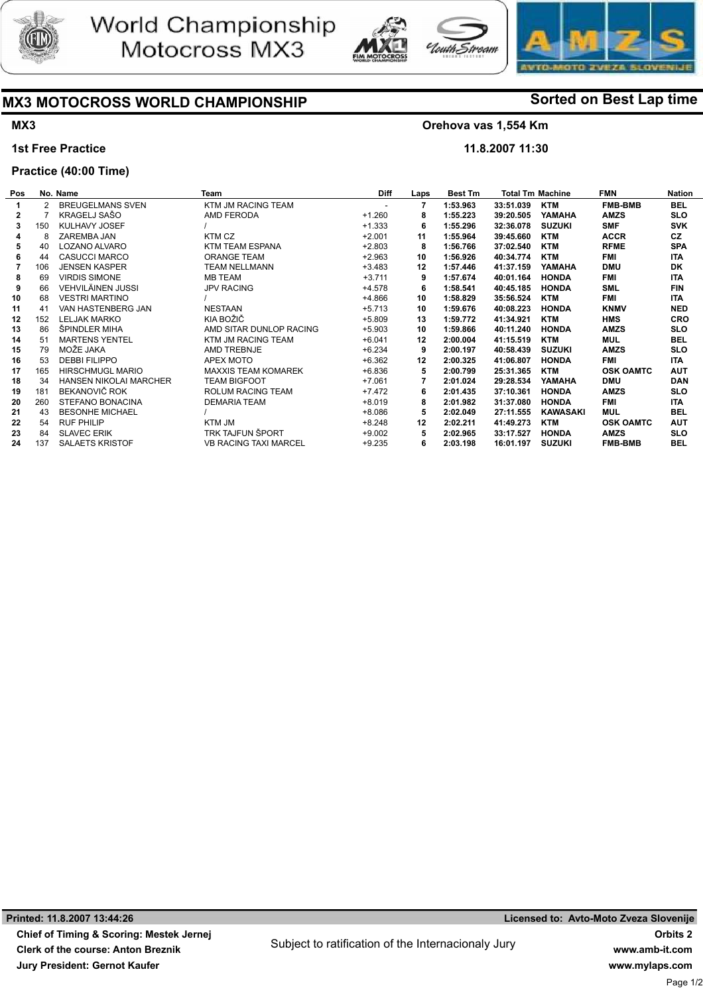





# MX3 MOTOCROSS WORLD CHAMPIONSHIP Sorted on Best Lap time

# MX3

#### 1st Free Practice

## Practice (40:00 Time)

## Orehova vas 1,554 Km

<del>.</del><br>Fiream

11.8.2007 11:30

| Pos |     | No. Name                      | <b>Team</b>                  | <b>Diff</b>              | Laps | Best Tm  | <b>Total Tm Machine</b> |                 | <b>FMN</b>       | <b>Nation</b> |
|-----|-----|-------------------------------|------------------------------|--------------------------|------|----------|-------------------------|-----------------|------------------|---------------|
|     |     | <b>BREUGELMANS SVEN</b>       | KTM JM RACING TEAM           | $\overline{\phantom{a}}$ |      | 1:53.963 | 33:51.039               | <b>KTM</b>      | <b>FMB-BMB</b>   | BEL           |
| 2   |     | KRAGELJ SAŠO                  | AMD FERODA                   | $+1.260$                 |      | 1:55.223 | 39:20.505               | YAMAHA          | <b>AMZS</b>      | <b>SLO</b>    |
| 3   | 150 | KULHAVY JOSEF                 |                              | $+1.333$                 | 6    | 1:55.296 | 32:36.078               | <b>SUZUKI</b>   | <b>SMF</b>       | <b>SVK</b>    |
|     | 8   | ZAREMBA JAN                   | KTM CZ                       | $+2.001$                 | 11   | 1:55.964 | 39:45.660               | <b>KTM</b>      | <b>ACCR</b>      | CZ            |
| 5   | 40  | LOZANO ALVARO                 | KTM TEAM ESPANA              | $+2.803$                 | 8    | 1:56.766 | 37:02.540               | <b>KTM</b>      | <b>RFME</b>      | <b>SPA</b>    |
|     | 44  | <b>CASUCCI MARCO</b>          | <b>ORANGE TEAM</b>           | $+2.963$                 | 10   | 1:56.926 | 40:34.774               | <b>KTM</b>      | FMI              | <b>ITA</b>    |
|     | 106 | <b>JENSEN KASPER</b>          | <b>TEAM NELLMANN</b>         | $+3.483$                 | 12   | 1:57.446 | 41:37.159               | YAMAHA          | <b>DMU</b>       | <b>DK</b>     |
| 8   | 69  | <b>VIRDIS SIMONE</b>          | MB TEAM                      | $+3.711$                 | 9    | 1:57.674 | 40:01.164               | <b>HONDA</b>    | FMI              | <b>ITA</b>    |
| 9   | 66  | <b>VEHVILÄINEN JUSSI</b>      | <b>JPV RACING</b>            | $+4.578$                 | 6    | 1:58.541 | 40:45.185               | <b>HONDA</b>    | <b>SML</b>       | <b>FIN</b>    |
| 10  | 68  | <b>VESTRI MARTINO</b>         |                              | +4.866                   | 10   | 1:58.829 | 35:56.524               | <b>KTM</b>      | FMI              | <b>ITA</b>    |
| 11  | 41  | VAN HASTENBERG JAN            | <b>NESTAAN</b>               | $+5.713$                 | 10   | 1:59.676 | 40:08.223               | <b>HONDA</b>    | <b>KNMV</b>      | <b>NED</b>    |
| 12  | 152 | <b>LELJAK MARKO</b>           | KIA BOŽIČ                    | $+5.809$                 | 13   | 1:59.772 | 41:34.921               | <b>KTM</b>      | <b>HMS</b>       | <b>CRO</b>    |
| 13  | 86  | ŠPINDLER MIHA                 | AMD SITAR DUNLOP RACING      | $+5.903$                 | 10   | 1:59.866 | 40:11.240               | <b>HONDA</b>    | <b>AMZS</b>      | <b>SLO</b>    |
| 14  | 51  | <b>MARTENS YENTEL</b>         | KTM JM RACING TEAM           | $+6.041$                 | 12   | 2:00.004 | 41:15.519               | <b>KTM</b>      | <b>MUL</b>       | BEL           |
| 15  | 79  | MOŽE JAKA                     | AMD TREBNJE                  | $+6.234$                 | 9    | 2:00.197 | 40:58.439               | <b>SUZUKI</b>   | <b>AMZS</b>      | <b>SLO</b>    |
| 16  | 53  | <b>DEBBI FILIPPO</b>          | APEX MOTO                    | $+6.362$                 | 12   | 2:00.325 | 41:06.807               | <b>HONDA</b>    | FMI              | ITA.          |
| 17  | 165 | <b>HIRSCHMUGL MARIO</b>       | <b>MAXXIS TEAM KOMAREK</b>   | $+6.836$                 | 5    | 2:00.799 | 25:31.365               | KTM             | <b>OSK OAMTC</b> | <b>AUT</b>    |
| 18  | 34  | <b>HANSEN NIKOLAI MARCHER</b> | <b>TEAM BIGFOOT</b>          | $+7.061$                 |      | 2:01.024 | 29:28.534               | YAMAHA          | <b>DMU</b>       | DAN           |
| 19  | 181 | BEKANOVIČ ROK                 | ROLUM RACING TEAM            | +7.472                   | 6    | 2:01.435 | 37:10.361               | <b>HONDA</b>    | <b>AMZS</b>      | <b>SLO</b>    |
| 20  | 260 | STEFANO BONACINA              | <b>DEMARIA TEAM</b>          | $+8.019$                 | 8    | 2:01.982 | 31:37.080               | <b>HONDA</b>    | FMI              | <b>ITA</b>    |
| 21  | 43  | <b>BESONHE MICHAEL</b>        |                              | $+8.086$                 | 5    | 2:02.049 | 27:11.555               | <b>KAWASAKI</b> | <b>MUL</b>       | BEL           |
| 22  | 54  | <b>RUF PHILIP</b>             | KTM JM                       | $+8.248$                 | 12   | 2:02.211 | 41:49.273               | <b>KTM</b>      | <b>OSK OAMTC</b> | <b>AUT</b>    |
| 23  | 84  | <b>SLAVEC ERIK</b>            | <b>TRK TAJFUN ŠPORT</b>      | $+9.002$                 | 5    | 2:02.965 | 33:17.527               | <b>HONDA</b>    | <b>AMZS</b>      | <b>SLO</b>    |
| 24  | 137 | <b>SALAETS KRISTOF</b>        | <b>VB RACING TAXI MARCEL</b> | $+9.235$                 | 6    | 2:03.198 | 16:01.197               | <b>SUZUKI</b>   | <b>FMB-BMB</b>   | BEL           |